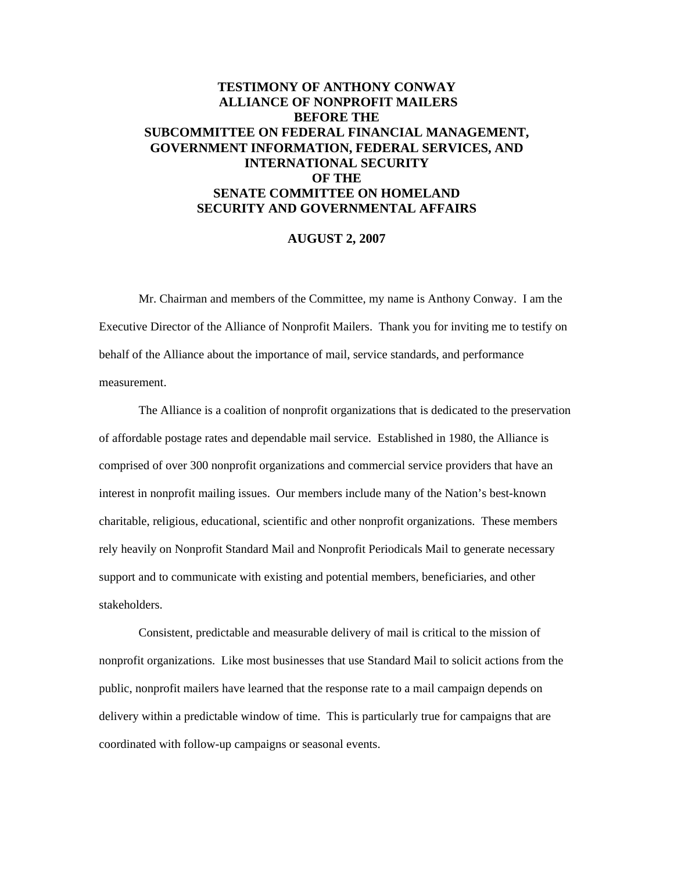## **TESTIMONY OF ANTHONY CONWAY ALLIANCE OF NONPROFIT MAILERS BEFORE THE SUBCOMMITTEE ON FEDERAL FINANCIAL MANAGEMENT, GOVERNMENT INFORMATION, FEDERAL SERVICES, AND INTERNATIONAL SECURITY OF THE SENATE COMMITTEE ON HOMELAND SECURITY AND GOVERNMENTAL AFFAIRS**

## **AUGUST 2, 2007**

Mr. Chairman and members of the Committee, my name is Anthony Conway. I am the Executive Director of the Alliance of Nonprofit Mailers. Thank you for inviting me to testify on behalf of the Alliance about the importance of mail, service standards, and performance measurement.

 The Alliance is a coalition of nonprofit organizations that is dedicated to the preservation of affordable postage rates and dependable mail service. Established in 1980, the Alliance is comprised of over 300 nonprofit organizations and commercial service providers that have an interest in nonprofit mailing issues. Our members include many of the Nation's best-known charitable, religious, educational, scientific and other nonprofit organizations. These members rely heavily on Nonprofit Standard Mail and Nonprofit Periodicals Mail to generate necessary support and to communicate with existing and potential members, beneficiaries, and other stakeholders.

Consistent, predictable and measurable delivery of mail is critical to the mission of nonprofit organizations. Like most businesses that use Standard Mail to solicit actions from the public, nonprofit mailers have learned that the response rate to a mail campaign depends on delivery within a predictable window of time. This is particularly true for campaigns that are coordinated with follow-up campaigns or seasonal events.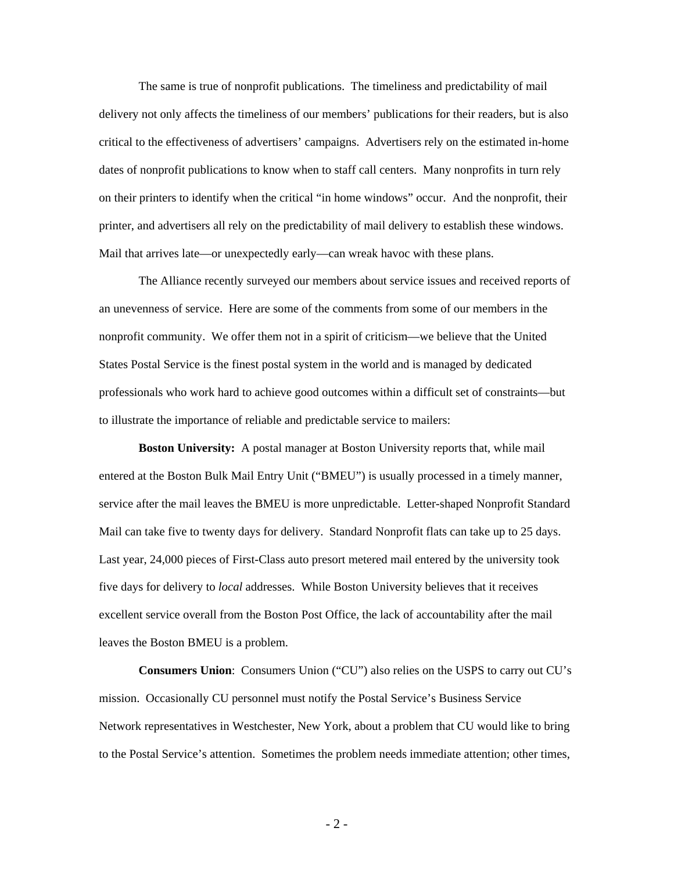The same is true of nonprofit publications. The timeliness and predictability of mail delivery not only affects the timeliness of our members' publications for their readers, but is also critical to the effectiveness of advertisers' campaigns. Advertisers rely on the estimated in-home dates of nonprofit publications to know when to staff call centers. Many nonprofits in turn rely on their printers to identify when the critical "in home windows" occur. And the nonprofit, their printer, and advertisers all rely on the predictability of mail delivery to establish these windows. Mail that arrives late—or unexpectedly early—can wreak havoc with these plans.

 The Alliance recently surveyed our members about service issues and received reports of an unevenness of service. Here are some of the comments from some of our members in the nonprofit community. We offer them not in a spirit of criticism—we believe that the United States Postal Service is the finest postal system in the world and is managed by dedicated professionals who work hard to achieve good outcomes within a difficult set of constraints—but to illustrate the importance of reliable and predictable service to mailers:

**Boston University:** A postal manager at Boston University reports that, while mail entered at the Boston Bulk Mail Entry Unit ("BMEU") is usually processed in a timely manner, service after the mail leaves the BMEU is more unpredictable. Letter-shaped Nonprofit Standard Mail can take five to twenty days for delivery. Standard Nonprofit flats can take up to 25 days. Last year, 24,000 pieces of First-Class auto presort metered mail entered by the university took five days for delivery to *local* addresses. While Boston University believes that it receives excellent service overall from the Boston Post Office, the lack of accountability after the mail leaves the Boston BMEU is a problem.

**Consumers Union**: Consumers Union ("CU") also relies on the USPS to carry out CU's mission. Occasionally CU personnel must notify the Postal Service's Business Service Network representatives in Westchester, New York, about a problem that CU would like to bring to the Postal Service's attention. Sometimes the problem needs immediate attention; other times,

- 2 -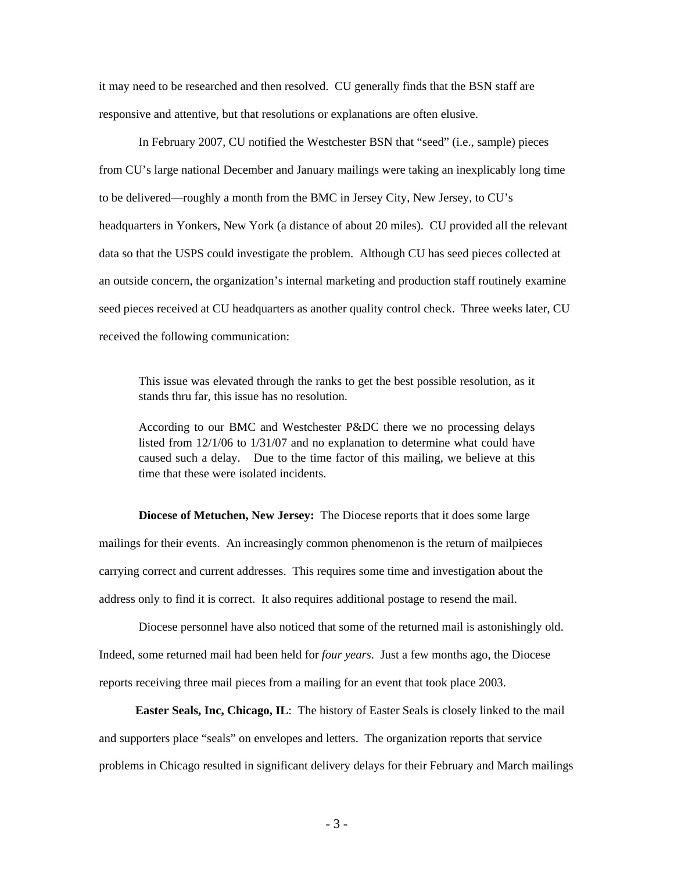it may need to be researched and then resolved. CU generally finds that the BSN staff are responsive and attentive, but that resolutions or explanations are often elusive.

 In February 2007, CU notified the Westchester BSN that "seed" (i.e., sample) pieces from CU's large national December and January mailings were taking an inexplicably long time to be delivered—roughly a month from the BMC in Jersey City, New Jersey, to CU's headquarters in Yonkers, New York (a distance of about 20 miles). CU provided all the relevant data so that the USPS could investigate the problem. Although CU has seed pieces collected at an outside concern, the organization's internal marketing and production staff routinely examine seed pieces received at CU headquarters as another quality control check. Three weeks later, CU received the following communication:

This issue was elevated through the ranks to get the best possible resolution, as it stands thru far, this issue has no resolution.

According to our BMC and Westchester P&DC there we no processing delays listed from 12/1/06 to 1/31/07 and no explanation to determine what could have caused such a delay. Due to the time factor of this mailing, we believe at this time that these were isolated incidents.

**Diocese of Metuchen, New Jersey:** The Diocese reports that it does some large mailings for their events. An increasingly common phenomenon is the return of mailpieces carrying correct and current addresses. This requires some time and investigation about the address only to find it is correct. It also requires additional postage to resend the mail.

 Diocese personnel have also noticed that some of the returned mail is astonishingly old. Indeed, some returned mail had been held for *four years*. Just a few months ago, the Diocese reports receiving three mail pieces from a mailing for an event that took place 2003.

 **Easter Seals, Inc, Chicago, IL**: The history of Easter Seals is closely linked to the mail and supporters place "seals" on envelopes and letters. The organization reports that service problems in Chicago resulted in significant delivery delays for their February and March mailings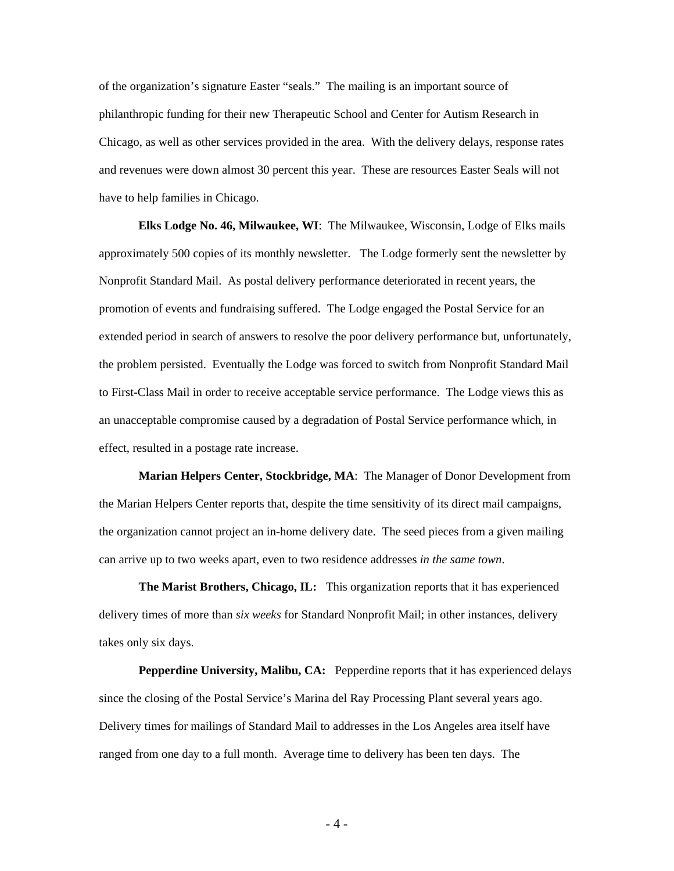of the organization's signature Easter "seals." The mailing is an important source of philanthropic funding for their new Therapeutic School and Center for Autism Research in Chicago, as well as other services provided in the area. With the delivery delays, response rates and revenues were down almost 30 percent this year. These are resources Easter Seals will not have to help families in Chicago.

 **Elks Lodge No. 46, Milwaukee, WI**: The Milwaukee, Wisconsin, Lodge of Elks mails approximately 500 copies of its monthly newsletter. The Lodge formerly sent the newsletter by Nonprofit Standard Mail. As postal delivery performance deteriorated in recent years, the promotion of events and fundraising suffered. The Lodge engaged the Postal Service for an extended period in search of answers to resolve the poor delivery performance but, unfortunately, the problem persisted. Eventually the Lodge was forced to switch from Nonprofit Standard Mail to First-Class Mail in order to receive acceptable service performance. The Lodge views this as an unacceptable compromise caused by a degradation of Postal Service performance which, in effect, resulted in a postage rate increase.

**Marian Helpers Center, Stockbridge, MA**: The Manager of Donor Development from the Marian Helpers Center reports that, despite the time sensitivity of its direct mail campaigns, the organization cannot project an in-home delivery date. The seed pieces from a given mailing can arrive up to two weeks apart, even to two residence addresses *in the same town*.

**The Marist Brothers, Chicago, IL:** This organization reports that it has experienced delivery times of more than *six weeks* for Standard Nonprofit Mail; in other instances, delivery takes only six days.

 **Pepperdine University, Malibu, CA:** Pepperdine reports that it has experienced delays since the closing of the Postal Service's Marina del Ray Processing Plant several years ago. Delivery times for mailings of Standard Mail to addresses in the Los Angeles area itself have ranged from one day to a full month. Average time to delivery has been ten days. The

- 4 -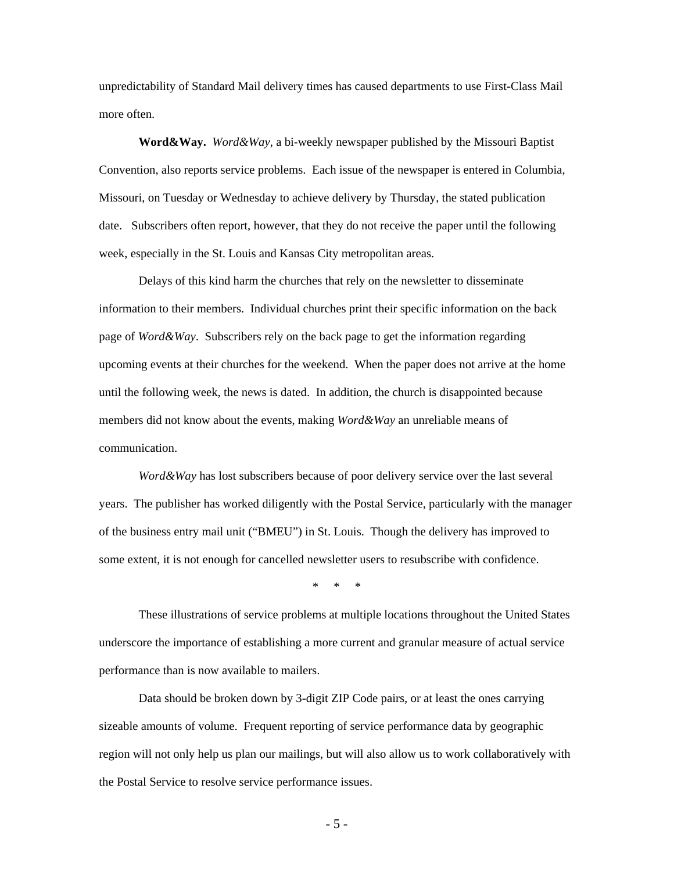unpredictability of Standard Mail delivery times has caused departments to use First-Class Mail more often.

**Word&Way.** *Word&Way*, a bi-weekly newspaper published by the Missouri Baptist Convention, also reports service problems. Each issue of the newspaper is entered in Columbia, Missouri, on Tuesday or Wednesday to achieve delivery by Thursday, the stated publication date. Subscribers often report, however, that they do not receive the paper until the following week, especially in the St. Louis and Kansas City metropolitan areas.

 Delays of this kind harm the churches that rely on the newsletter to disseminate information to their members. Individual churches print their specific information on the back page of *Word&Way*. Subscribers rely on the back page to get the information regarding upcoming events at their churches for the weekend. When the paper does not arrive at the home until the following week, the news is dated. In addition, the church is disappointed because members did not know about the events, making *Word&Way* an unreliable means of communication.

*Word&Way* has lost subscribers because of poor delivery service over the last several years. The publisher has worked diligently with the Postal Service, particularly with the manager of the business entry mail unit ("BMEU") in St. Louis. Though the delivery has improved to some extent, it is not enough for cancelled newsletter users to resubscribe with confidence.

\* \* \*

 These illustrations of service problems at multiple locations throughout the United States underscore the importance of establishing a more current and granular measure of actual service performance than is now available to mailers.

 Data should be broken down by 3-digit ZIP Code pairs, or at least the ones carrying sizeable amounts of volume. Frequent reporting of service performance data by geographic region will not only help us plan our mailings, but will also allow us to work collaboratively with the Postal Service to resolve service performance issues.